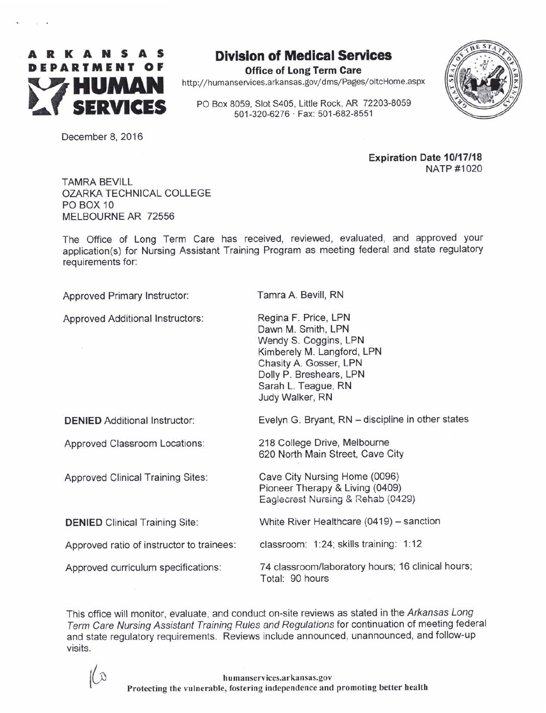

# Dlvlslon of Medlcal Servlces

Office of Long Term Gare http://humanservices.arkansas.gov/dms/Pages/oltcHome.aspx

PO Box 8059, Slot S405, Little Rock, AR 72203-8059 501-320-6276 ' Fax: 501-682-8551



Decernber 8, 2016

**Expiration Date 10/17/18** NATP #1020

TAMRA BEVILL OZARKA TECHNICAL COLLEGE PO BOX 1O MELBOURNE AR 72556

The Office of Long Term Care has received, reviewed, evaluated, and approved your application(s) for Nursing Assistant Training Program as meeting federal and state regulatory requirements for:

Approved Primary Instructor:

Approved Additional lnstructors:

Tamra A. Bevill, RN

Regina F. Price, LPN Dawn M. Smith, LPN Wendy S. Coggins, LPN Kimberely M. Langford, LPN Chasity A. Gosser, LPN Dolly P. Breshears, LPN Sarah L. Teague, RN Judy Walker, RN

DENIED Additional Instructor:

Approved Classroom Locations:

Approved Clinical Training Sites:

DENIED Clinical Training Site:

Approved ratio of instructor to trainees:

Approved curriculum specifications:

Evelyn G. Bryant, RN - discipline in other states

218 College Drive, Melbourne 620 North Main Street, Cave City

Cave City Nursing Home (0096) Pioneer Therapy & Living (0409) Eaglecrest Nursing & Rehab (0429)

White River Healthcare (0419) - sanction

classroom: 1:24; skills training: 1:12

74 classroom/laboratory hours; 16 clinical hours; Total: 90 hours

This office will monitor, evaluate, and conduct on-site reviews as stated in the Arkansas Long Term Care Nursing Assistant Training Rules and Regulations for continuation of meeting federal and state regulatory requirements. Reviews include announced, unannounced, and follow-up visits.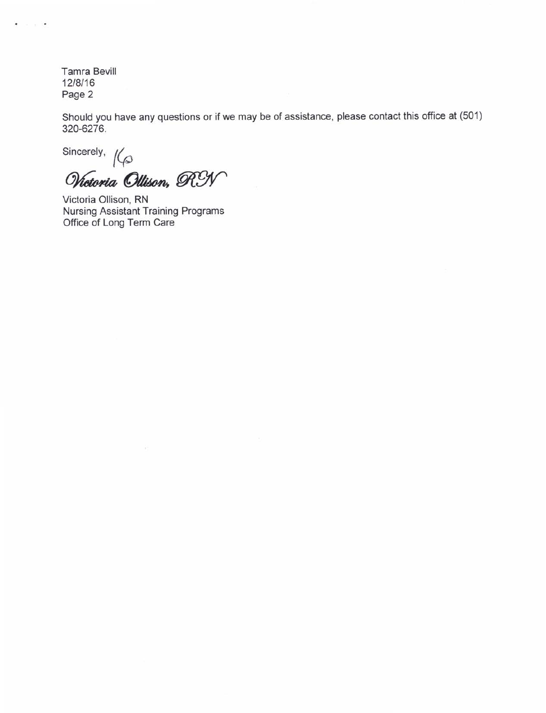$\sim$   $\sim$ 

 $\ddot{\phantom{0}}$ 

Should you have any questions or if we may be of assistance, please contact this office at (501) 320-6276.

Sincerely,  $k$ 

Wictoria Ollison, RY

Victoria Ollisoh, RN Nursing Assistant Training Programs Office of Long Term Care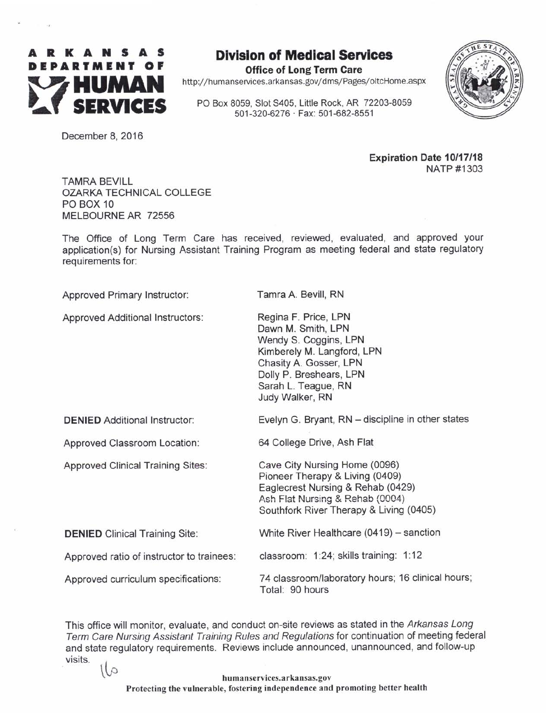

 $\ddot{\phantom{a}}$ 

Office of Long Term Care http://humanservices.arkansas.gov/dms/Pages/oltcHome.aspx

PO Box 8059, Slot S405, Little Rock, AR 72203-8059 501-320-6276 ' Fax: 501-682-8551



December 8, 2016

Expiration Date 10/17/18 NATP #1303

TAMRA BEVILL OZARKA TECHNICAL COLLEGE PO BOX 10 MELBOURNE AR 72556

The Office of Long Term Care has received, reviewed, evaluated, and approved your application(s) for Nursing Assistant Training Program as meeting federal and state regulatory requirements for:

Approved Primary Instructor:

Approved Additional lnstructors:

Tamra A. Bevill, RN

Regina F. Price, LPN Dawn M. Smith, LPN Wendy S. Coggins, LPN Kimberely M. Langford, LPN Chasity A. Gosser, LPN Dolly P. Breshears, LPN Sarah L. Teague, RN Judy Walker, RN

64 College Drive, Ash Flat

DENIED Additional Instructor:

Approved Classroom Location:

Approved Clinical Training Sites:

Cave City Nursing Home (0096) Pioneer Therapy & Living (0409) Eaglecrest Nursing & Rehab (0429) Ash Flat Nursing & Rehab (0004) Southfork River Therapy & Living (0405)

White River Healthcare (0419) - sanction DENIED Clinical Training Site:

classroom: 1:24; skills training: 1:12 Approved ratio of instructor to trainees:

Approved curriculum specifications:

74 classroom/laboratory hours; 16 clinical hours; Total: 90 hours

Evelyn G. Bryant, RN - discipline in other states

This office will monitor, evaluate, and conduct on-site reviews as stated in the Arkansas Long Term Care Nursing Assistant Training Rules and Regulations for continuation of meeting federal and state regulatory requirements. Reviews include announced, unannounced, and follow-up visits.  $\sqrt{1}$ 

> humanservices.arkansas.gov Protecting the vulnerable, fostering independence and promoting better health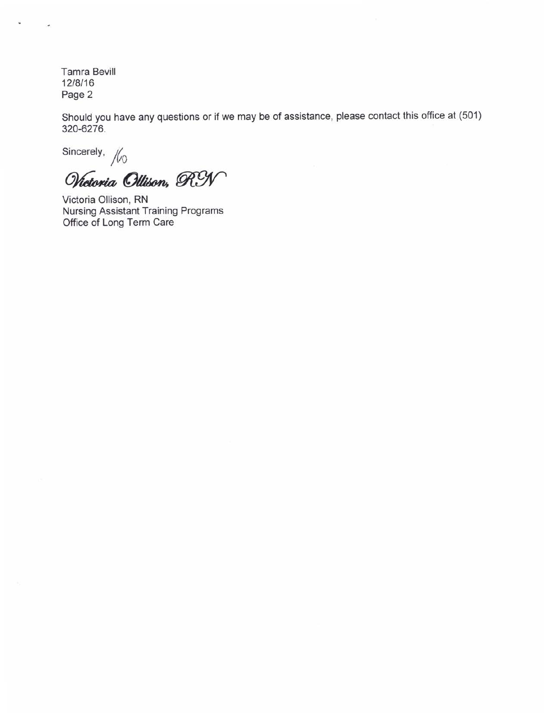¥,

Should you have any questions or if we may be of assistance, please contact this office at (501) 320-6276.

Sincerely,  $\frac{1}{100}$ 

Wictoria Ollison, RN

Victoria Ollison, RN Nursing Assistant Training Programs Office of Long Term Care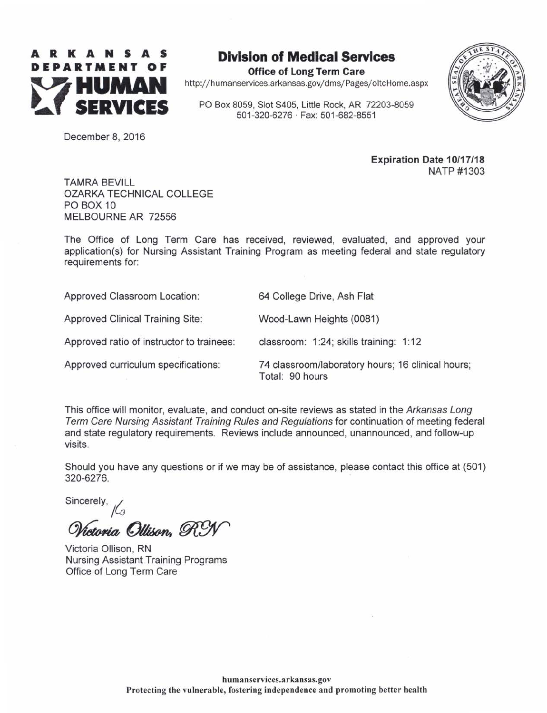

### **Division of Medical Services**

Office of Long Term Care http://humanservices.arkansas.gov/dms/Pages/oltcHome.aspx

PO Box 8059, Slot S405, Little Rock, AR 72203-8059 501-320-6276 ' Fax: 501-682-8551

64 College Drive, Ash Flat

Wood-Lawn Heights (0081)



December 8, 2016

Expiration Date 10/17/18 NATP #1303

TAMRA BEVILL OZARKA TECHNICAL COLLEGE PO BOX 1O MELBOURNE AR 72556

The Office of Long Term Care has received, reviewed, evaluated, and approved your application(s) for Nursing Assistant Training Program as meeting federal and state regulatory requirements for:

Approved Classroom Location:

Approved Clinical Training Site:

Approved ratio of instructor to trainees:

Approved curriculum specifications:

classroom: 1:24; skills training: 1:12 74 classroom/laboratory hours; 16 clinical hours;

Total: 90 hours

This office will monitor, evaluate, and conduct on-site reviews as stated in the Arkansas Long Term Care Nursing Assistant Training Rules and Regulations for continuation of meeting federal and state regulatory requirements. Reviews include announced, unannounced, and follow-up visits.

Should you have any questions or if we may be of assistance, please contact this office at (501) 320-6276.

Sincerely,  $\mathcal{L}_{3}$ 

Victoria Ollison. R.

Victoria Ollison, RN Nursing Assistant Training Programs Office of Long Term Care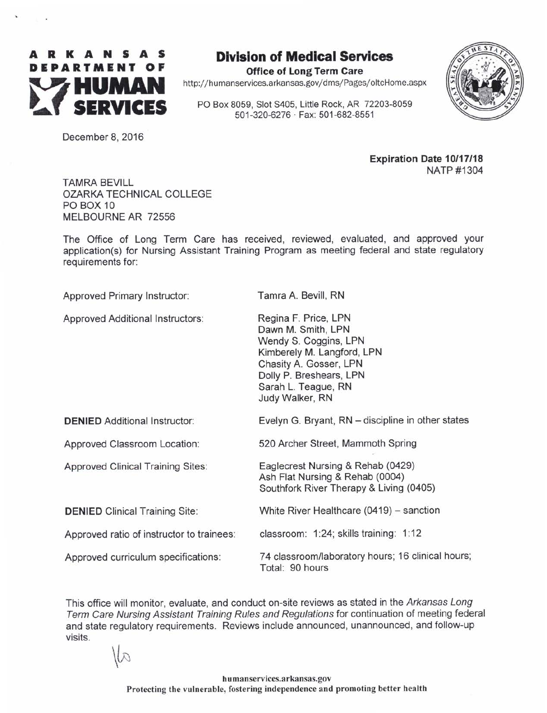

# Dlvlslon of Medlcal Servlces

Office of Long Term Gare http://humanservices.arkansas.gov/dms/Pages/oltcHome.aspx

PO Box 8059, Slot S405, Little Rock, AR 72203-8059 501-320-6276 ' Fax: 501-682-8551



December 8, 2016

Expiration Date 10/17/18 NATP #1304

TAMRA BEVILL OZARKA TECHNICAL COLLEGE PO BOX 10 MELBOURNE AR 72556

The Office of Long Term Care has received, reviewed, evaluated, and approved your application(s) for Nursing Assistant Training Program as meeting federal and state regulatory requirements for:

Approved Primary Instructor:

Approved Additional Instructors:

Tamra A. Bevill, RN

Regina F. Price, LPN Dawn M. Smith, LPN Wendy S. Coggins, LPN Kimberely M. Langford, LPN Chasity A. Gosser, LPN Dolly P. Breshears, LPN Sarah L. Teague, RN Judy Walker, RN

DENIED Additional Instructor:

Approved Classroom Location:

Approved Clinical Training Sites:

DENIED Clinical Training Site:

Ash Flat Nursing & Rehab (0004) Southfork River Therapy & Living (0405)

520 Archer Street, Mammoth Spring

Eaglecrest Nursing & Rehab (0429)

White River Healthcare (0419) - sanction

Approved ratio of instructor to trainees: classroom: 1:24; skills training: 1:12

Approved curriculum specifications.

74 classroom/laboratory hours; 16 clinical hours; Total: 90 hours

Evelyn G. Bryant, RN - discipline in other states

This office will monitor, evaluate, and conduct on-site reviews as stated in the Arkansas Long Term Care Nursing Assistant Training Rules and Regulations for continuation of meeting federal and state regulatory requirements. Reviews include announced, unannounced, and follow-up visits.

 $\omega$ 

hu manservices.arkansas. gov Protecting the vulnerable, fostering independence and promoting better health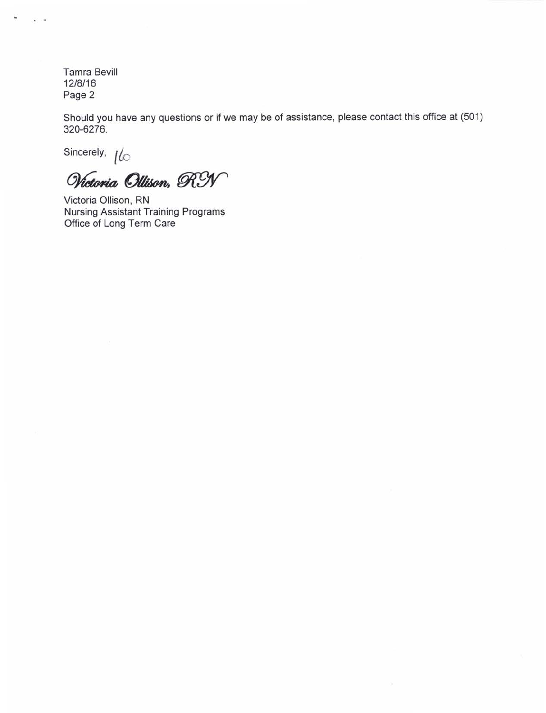¥

 $\ddot{\phantom{1}}$ 

Should you have any questions or if we may be of assistance, please contact this office at (501) 320-6276.

Sincerely,  $\iota$ 

Wictoria Ollison, RY

Victoria Ollison, RN Nursing Assistant Training Programg Office of Long Term Care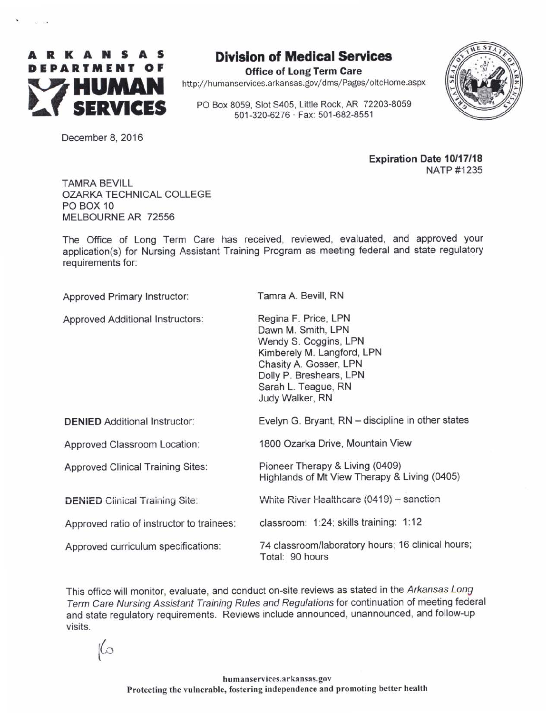

# Dlvlslon of Medlcal Servlces

Office of Long Term Care http://humanservices.arkansas.gov/dms/Pages/oltcHome.aspx

PO Box 8059, Slot 5405, Little Rock, AR 72203-8059



December 8, 2016

Expiration Date 10/17/18 NATP #1235

TAMRA BEVILL OZARKA TECHNICAL COLLEGE PO BOX 1O MELBOURNE AR 72556

The Office of Long Term Care has received, reviewed, evaluated, and approved your application(s) for Nursing Assistant Training Program as meeting federal and state regulatory requirements for:

Approved Primary Instructor:

Approved Additional Instructors:

Tamra A. Bevill, RN

Regina F. Price, LPN Dawn M. Smith, LPN Wendy S. Coggins, LPN Kimberely M. Langford, LPN Chasity A. Gosser, LPN Dolly P. Breshears, LPN Sarah L. Teague, RN Judy Walker, RN

1800 Ozarka Drive, Mountain View

Pioneer Therapy & Living (0409)

| <b>DENIED</b> Additional Instructor: |  |
|--------------------------------------|--|
|--------------------------------------|--|

Approved Classroom Location:

Approved Clinical Training Sites:

DENIED Clinical Training Site:

Approved ratio of instructor to trainees:

Approved curriculum specifications:

74 classroom/laboratory hours; 16 clinical hours; Total: 90 hours

Evelyn G. Bryant, RN - discipline in other states

Highlands of Mt View Therapy & Living (0405)

White River Healthcare  $(0419)$  - sanction

classroom: 1:24; skills training: 1:12

This office will monitor, evaluate, and conduct on-site reviews as stated in the Arkansas Long Term Care Nursing Assistant Training Rules and Regulations for continuation of meeting federal and state regulatory requirements. Reviews include announced, unannounced, and follow-up visits.

 $\infty$